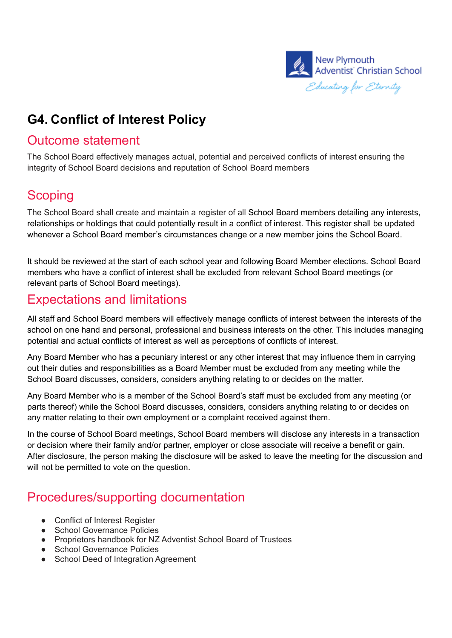

## **G4. Conflict of Interest Policy**

#### Outcome statement

The School Board effectively manages actual, potential and perceived conflicts of interest ensuring the integrity of School Board decisions and reputation of School Board members

### **Scoping**

The School Board shall create and maintain a register of all School Board members detailing any interests, relationships or holdings that could potentially result in a conflict of interest. This register shall be updated whenever a School Board member's circumstances change or a new member joins the School Board.

It should be reviewed at the start of each school year and following Board Member elections. School Board members who have a conflict of interest shall be excluded from relevant School Board meetings (or relevant parts of School Board meetings).

#### Expectations and limitations

All staff and School Board members will effectively manage conflicts of interest between the interests of the school on one hand and personal, professional and business interests on the other. This includes managing potential and actual conflicts of interest as well as perceptions of conflicts of interest.

Any Board Member who has a pecuniary interest or any other interest that may influence them in carrying out their duties and responsibilities as a Board Member must be excluded from any meeting while the School Board discusses, considers, considers anything relating to or decides on the matter.

Any Board Member who is a member of the School Board's staff must be excluded from any meeting (or parts thereof) while the School Board discusses, considers, considers anything relating to or decides on any matter relating to their own employment or a complaint received against them.

In the course of School Board meetings, School Board members will disclose any interests in a transaction or decision where their family and/or partner, employer or close associate will receive a benefit or gain. After disclosure, the person making the disclosure will be asked to leave the meeting for the discussion and will not be permitted to vote on the question.

#### Procedures/supporting documentation

- Conflict of Interest Register
- School Governance Policies
- Proprietors handbook for NZ Adventist School Board of Trustees
- School Governance Policies
- School Deed of Integration Agreement